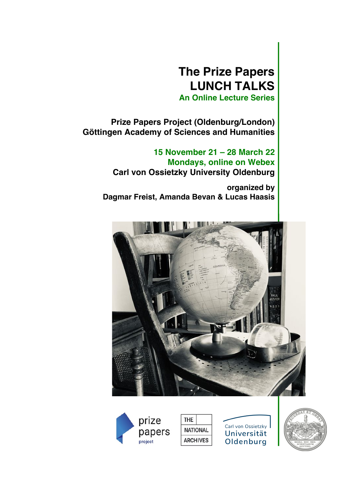# **The Prize Papers LUNCH TALKS**

**An Online Lecture Series**

**Prize Papers Project (Oldenburg/London) Göttingen Academy of Sciences and Humanities** 

> **15 November 21 – 28 March 22 Mondays, online on Webex Carl von Ossietzky University Oldenburg**

 **organized by Dagmar Freist, Amanda Bevan & Lucas Haasis**





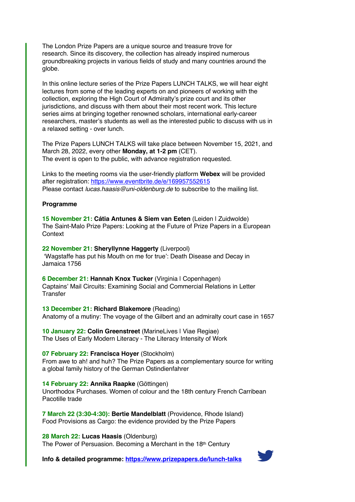The London Prize Papers are a unique source and treasure trove for research. Since its discovery, the collection has already inspired numerous groundbreaking projects in various fields of study and many countries around the globe.

In this online lecture series of the Prize Papers LUNCH TALKS, we will hear eight lectures from some of the leading experts on and pioneers of working with the collection, exploring the High Court of Admiralty's prize court and its other jurisdictions, and discuss with them about their most recent work. This lecture series aims at bringing together renowned scholars, international early-career researchers, master's students as well as the interested public to discuss with us in a relaxed setting - over lunch.

The Prize Papers LUNCH TALKS will take place between November 15, 2021, and March 28, 2022, every other **Monday, at 1-2 pm** (CET). The event is open to the public, with advance registration requested.

Links to the meeting rooms via the user-friendly platform **Webex** will be provided after registration: https://www.eventbrite.de/e/169957552615 Please contact *lucas.haasis@uni-oldenburg.de* to subscribe to the mailing list.

## **Programme**

**15 November 21: Cátia Antunes & Siem van Eeten** (Leiden | Zuidwolde) The Saint-Malo Prize Papers: Looking at the Future of Prize Papers in a European **Context** 

**22 November 21: Sheryllynne Haggerty** (Liverpool) 'Wagstaffe has put his Mouth on me for true': Death Disease and Decay in Jamaica 1756

**6 December 21: Hannah Knox Tucker** (Virginia | Copenhagen) Captains' Mail Circuits: Examining Social and Commercial Relations in Letter **Transfer** 

**13 December 21: Richard Blakemore** (Reading) Anatomy of a mutiny: The voyage of the Gilbert and an admiralty court case in 1657

**10 January 22: Colin Greenstreet** (MarineLives | Viae Regiae) The Uses of Early Modern Literacy - The Literacy Intensity of Work

**07 February 22: Francisca Hoyer** (Stockholm)

From awe to ah! and huh? The Prize Papers as a complementary source for writing a global family history of the German Ostindienfahrer

**14 February 22: Annika Raapke** (Göttingen)

Unorthodox Purchases. Women of colour and the 18th century French Carribean Pacotille trade

**7 March 22 (3:30-4:30): Bertie Mandelblatt** (Providence, Rhode Island) Food Provisions as Cargo: the evidence provided by the Prize Papers

## **28 March 22: Lucas Haasis** (Oldenburg)

The Power of Persuasion. Becoming a Merchant in the 18<sup>th</sup> Century

**Info & detailed programme: https://www.prizepapers.de/lunch-talks**

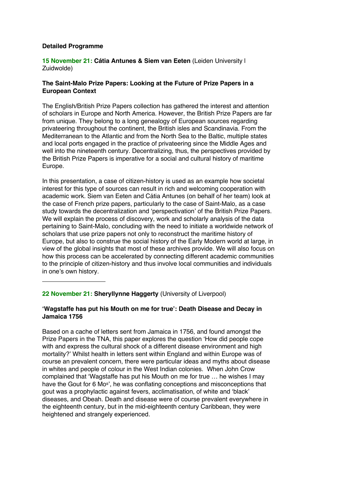## **Detailed Programme**

## **15 November 21: Cátia Antunes & Siem van Eeten** (Leiden University | Zuidwolde)

## **The Saint-Malo Prize Papers: Looking at the Future of Prize Papers in a European Context**

The English/British Prize Papers collection has gathered the interest and attention of scholars in Europe and North America. However, the British Prize Papers are far from unique. They belong to a long genealogy of European sources regarding privateering throughout the continent, the British isles and Scandinavia. From the Mediterranean to the Atlantic and from the North Sea to the Baltic, multiple states and local ports engaged in the practice of privateering since the Middle Ages and well into the nineteenth century. Decentralizing, thus, the perspectives provided by the British Prize Papers is imperative for a social and cultural history of maritime Europe.

In this presentation, a case of citizen-history is used as an example how societal interest for this type of sources can result in rich and welcoming cooperation with academic work. Siem van Eeten and Cátia Antunes (on behalf of her team) look at the case of French prize papers, particularly to the case of Saint-Malo, as a case study towards the decentralization and 'perspectivation' of the British Prize Papers. We will explain the process of discovery, work and scholarly analysis of the data pertaining to Saint-Malo, concluding with the need to initiate a worldwide network of scholars that use prize papers not only to reconstruct the maritime history of Europe, but also to construe the social history of the Early Modern world at large, in view of the global insights that most of these archives provide. We will also focus on how this process can be accelerated by connecting different academic communities to the principle of citizen-history and thus involve local communities and individuals in one's own history.

## **22 November 21: Sheryllynne Haggerty** (University of Liverpool)

## **'Wagstaffe has put his Mouth on me for true': Death Disease and Decay in Jamaica 1756**

Based on a cache of letters sent from Jamaica in 1756, and found amongst the Prize Papers in the TNA, this paper explores the question 'How did people cope with and express the cultural shock of a different disease environment and high mortality?' Whilst health in letters sent within England and within Europe was of course an prevalent concern, there were particular ideas and myths about disease in whites and people of colour in the West Indian colonies. When John Crow complained that 'Wagstaffe has put his Mouth on me for true … he wishes I may have the Gout for 6 Mo<sup>s'</sup>, he was conflating conceptions and misconceptions that gout was a prophylactic against fevers, acclimatisation, of white and 'black' diseases, and Obeah. Death and disease were of course prevalent everywhere in the eighteenth century, but in the mid-eighteenth century Caribbean, they were heightened and strangely experienced.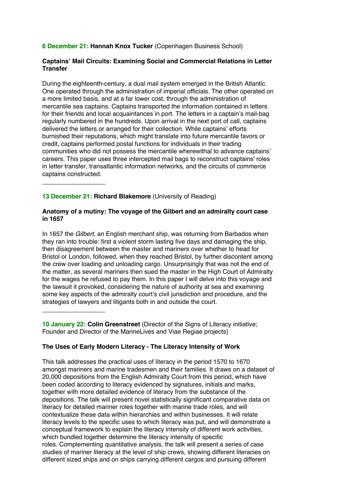**6 December 21: Hannah Knox Tucker** (Copenhagen Business School)

## **Captains' Mail Circuits: Examining Social and Commercial Relations in Letter Transfer**

During the eighteenth-century, a dual mail system emerged in the British Atlantic. One operated through the administration of imperial officials. The other operated on a more limited basis, and at a far lower cost, through the administration of mercantile sea captains. Captains transported the information contained in letters for their friends and local acquaintances in port. The letters in a captain's mail-bag regularly numbered in the hundreds. Upon arrival in the next port of call, captains delivered the letters or arranged for their collection. While captains' efforts burnished their reputations, which might translate into future mercantile favors or credit, captains performed postal functions for individuals in their trading communities who did not possess the mercantile wherewithal to advance captains' careers. This paper uses three intercepted mail bags to reconstruct captains' roles in letter transfer, transatlantic information networks, and the circuits of commerce captains constructed.

## **13 December 21: Richard Blakemore** (University of Reading)

## **Anatomy of a mutiny: The voyage of the Gilbert and an admiralty court case in 1657**

In 1657 the *Gilbert*, an English merchant ship, was returning from Barbados when they ran into trouble: first a violent storm lasting five days and damaging the ship, then disagreement between the master and mariners over whether to head for Bristol or London, followed, when they reached Bristol, by further discontent among the crew over loading and unloading cargo. Unsurprisingly that was not the end of the matter, as several mariners then sued the master in the High Court of Admiralty for the wages he refused to pay them. In this paper I will delve into this voyage and the lawsuit it provoked, considering the nature of authority at sea and examining some key aspects of the admiralty court's civil jurisdiction and procedure, and the strategies of lawyers and litigants both in and outside the court.

**10 January 22: Colin Greenstreet** (Director of the Signs of Literacy initiative; Founder and Director of the MarineLives and Viae Regiae projects)

## **The Uses of Early Modern Literacy - The Literacy Intensity of Work**

This talk addresses the practical uses of literacy in the period 1570 to 1670 amongst mariners and marine tradesmen and their families. It draws on a dataset of 20,000 depositions from the English Admiralty Court from this period, which have been coded according to literacy evidenced by signatures, initials and marks, together with more detailed evidence of literacy from the substance of the depositions. The talk will present novel statistically significant comparative data on literacy for detailed mariner roles together with marine trade roles, and will contextualize these data within hierarchies and within businesses. It will relate literacy levels to the specific uses to which literacy was put, and will demonstrate a conceptual framework to explain the literacy intensity of different work activities, which bundled together determine the literacy intensity of specific roles. Complementing quantitative analysis, the talk will present a series of case studies of mariner literacy at the level of ship crews, showing different literacies on different sized ships and on ships carrying different cargos and pursuing different